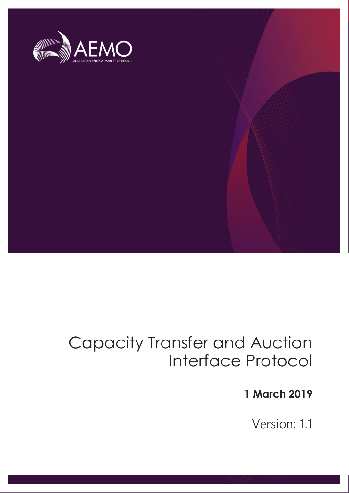

## Capacity Transfer and Auction Interface Protocol

### **1 March 2019**

Version: 1.1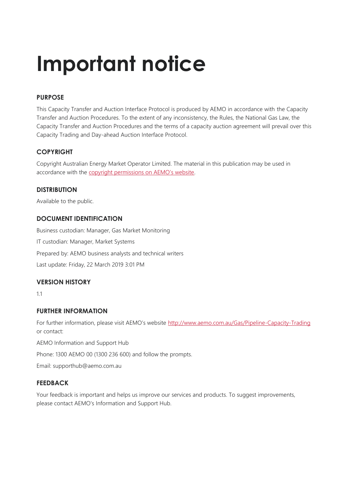# **Important notice**

#### **PURPOSE**

This Capacity Transfer and Auction Interface Protocol is produced by AEMO in accordance with the Capacity Transfer and Auction Procedures. To the extent of any inconsistency, the Rules, the National Gas Law, the Capacity Transfer and Auction Procedures and the terms of a capacity auction agreement will prevail over this Capacity Trading and Day-ahead Auction Interface Protocol.

#### **COPYRIGHT**

Copyright Australian Energy Market Operator Limited. The material in this publication may be used in accordance with the [copyright permissions on AEMO's website](http://www.aemo.com.au/Privacy_and_Legal_Notices/Copyright_Permissions_Notice).

#### **DISTRIBUTION**

Available to the public.

#### **DOCUMENT IDENTIFICATION**

Business custodian: Manager, Gas Market Monitoring IT custodian: Manager, Market Systems Prepared by: AEMO business analysts and technical writers Last update: Friday, 22 March 2019 3:01 PM

#### **VERSION HISTORY**

1.1

#### **FURTHER INFORMATION**

For further information, please visit AEMO's website <http://www.aemo.com.au/Gas/Pipeline-Capacity-Trading> or contact:

AEMO Information and Support Hub

Phone: 1300 AEMO 00 (1300 236 600) and follow the prompts.

Email: supporthub@aemo.com.au

#### **FEEDBACK**

Your feedback is important and helps us improve our services and products. To suggest improvements, please contact AEMO's Information and Support Hub.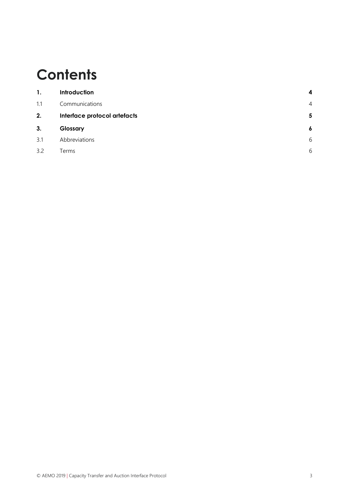## **Contents**

| 1.  | Introduction                 | $\boldsymbol{4}$ |
|-----|------------------------------|------------------|
| 1.1 | Communications               | $\overline{4}$   |
| 2.  | Interface protocol artefacts | 5                |
| 3.  | Glossary                     | $\boldsymbol{6}$ |
| 3.1 | Abbreviations                | 6                |
| 3.2 | Terms                        | 6                |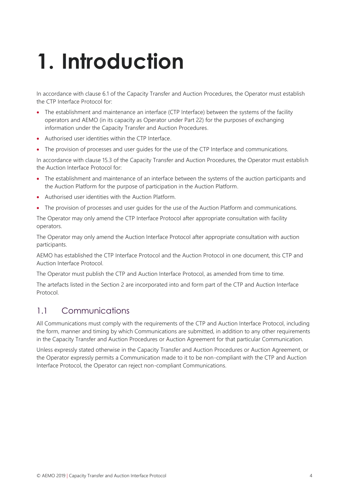# <span id="page-3-0"></span>**1. Introduction**

In accordance with clause 6.1 of the Capacity Transfer and Auction Procedures, the Operator must establish the CTP Interface Protocol for:

- The establishment and maintenance an interface (CTP Interface) between the systems of the facility operators and AEMO (in its capacity as Operator under Part 22) for the purposes of exchanging information under the Capacity Transfer and Auction Procedures.
- Authorised user identities within the CTP Interface.
- The provision of processes and user guides for the use of the CTP Interface and communications.

In accordance with clause 15.3 of the Capacity Transfer and Auction Procedures, the Operator must establish the Auction Interface Protocol for:

- The establishment and maintenance of an interface between the systems of the auction participants and the Auction Platform for the purpose of participation in the Auction Platform.
- Authorised user identities with the Auction Platform.
- The provision of processes and user quides for the use of the Auction Platform and communications.

The Operator may only amend the CTP Interface Protocol after appropriate consultation with facility operators.

The Operator may only amend the Auction Interface Protocol after appropriate consultation with auction participants.

AEMO has established the CTP Interface Protocol and the Auction Protocol in one document, this CTP and Auction Interface Protocol.

The Operator must publish the CTP and Auction Interface Protocol, as amended from time to time.

The artefacts listed in the Section 2 are incorporated into and form part of the CTP and Auction Interface Protocol.

#### <span id="page-3-1"></span>1.1 Communications

All Communications must comply with the requirements of the CTP and Auction Interface Protocol, including the form, manner and timing by which Communications are submitted, in addition to any other requirements in the Capacity Transfer and Auction Procedures or Auction Agreement for that particular Communication.

Unless expressly stated otherwise in the Capacity Transfer and Auction Procedures or Auction Agreement, or the Operator expressly permits a Communication made to it to be non-compliant with the CTP and Auction Interface Protocol, the Operator can reject non-compliant Communications.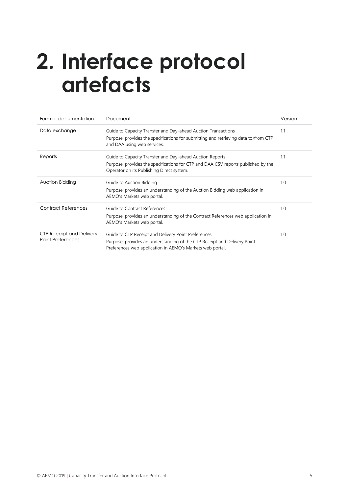## <span id="page-4-0"></span>**2. Interface protocol artefacts**

| Form of documentation                                       | Document                                                                                                                                                                                     | Version |
|-------------------------------------------------------------|----------------------------------------------------------------------------------------------------------------------------------------------------------------------------------------------|---------|
| Data exchange                                               | Guide to Capacity Transfer and Day-ahead Auction Transactions<br>Purpose: provides the specifications for submitting and retrieving data to/from CTP<br>and DAA using web services.          | 1.1     |
| Reports                                                     | Guide to Capacity Transfer and Day-ahead Auction Reports<br>Purpose: provides the specifications for CTP and DAA CSV reports published by the<br>Operator on its Publishing Direct system.   | 1.1     |
| Auction Bidding                                             | Guide to Auction Bidding<br>Purpose: provides an understanding of the Auction Bidding web application in<br>AEMO's Markets web portal.                                                       | 1.0     |
| <b>Contract References</b>                                  | Guide to Contract References<br>Purpose: provides an understanding of the Contract References web application in<br>AEMO's Markets web portal.                                               | 1.0     |
| <b>CTP Receipt and Delivery</b><br><b>Point Preferences</b> | Guide to CTP Receipt and Delivery Point Preferences<br>Purpose: provides an understanding of the CTP Receipt and Delivery Point<br>Preferences web application in AEMO's Markets web portal. | 1.0     |